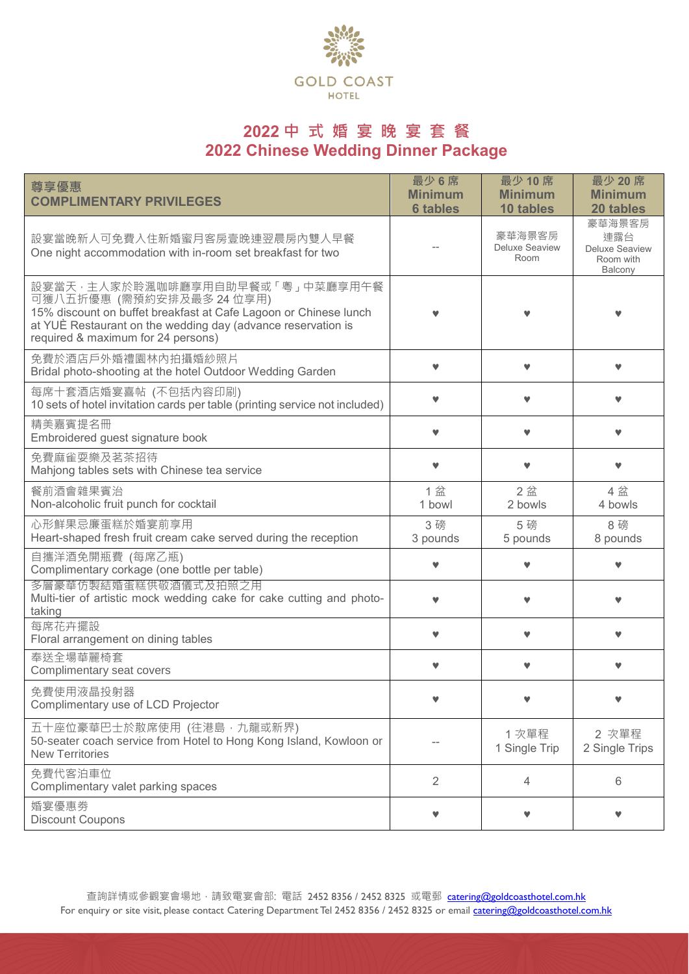

# **2022 中 式 婚 宴 晚 宴 套 餐 2022 Chinese Wedding Dinner Package**

| 尊享優惠<br><b>COMPLIMENTARY PRIVILEGES</b>                                                                                                                                                                                                | 最少6席<br><b>Minimum</b><br><b>6 tables</b> | 最少 10 席<br><b>Minimum</b><br>10 tables  | 最少 20 席<br><b>Minimum</b><br>20 tables                         |
|----------------------------------------------------------------------------------------------------------------------------------------------------------------------------------------------------------------------------------------|-------------------------------------------|-----------------------------------------|----------------------------------------------------------------|
| 設宴當晚新人可免費入住新婚蜜月客房壹晚連翌晨房內雙人早餐<br>One night accommodation with in-room set breakfast for two                                                                                                                                             |                                           | 豪華海景客房<br><b>Deluxe Seaview</b><br>Room | 豪華海景客房<br>連露台<br><b>Deluxe Seaview</b><br>Room with<br>Balcony |
| 設宴當天,主人家於聆渢咖啡廳享用自助早餐或「粵」中菜廳享用午餐<br>可獲八五折優惠 (需預約安排及最多 24 位享用)<br>15% discount on buffet breakfast at Cafe Lagoon or Chinese lunch<br>at YUÈ Restaurant on the wedding day (advance reservation is<br>required & maximum for 24 persons) |                                           |                                         |                                                                |
| 免費於酒店戶外婚禮園林內拍攝婚紗照片<br>Bridal photo-shooting at the hotel Outdoor Wedding Garden                                                                                                                                                        |                                           |                                         |                                                                |
| 每席十套酒店婚宴喜帖 (不包括內容印刷)<br>10 sets of hotel invitation cards per table (printing service not included)                                                                                                                                    |                                           |                                         |                                                                |
| 精美嘉賓提名冊<br>Embroidered guest signature book                                                                                                                                                                                            |                                           |                                         |                                                                |
| 免費麻雀耍樂及茗茶招待<br>Mahjong tables sets with Chinese tea service                                                                                                                                                                            |                                           |                                         |                                                                |
| 餐前酒會雜果賓治<br>Non-alcoholic fruit punch for cocktail                                                                                                                                                                                     | 1盆<br>1 bowl                              | 2盆<br>2 bowls                           | 4 盆<br>4 bowls                                                 |
| 心形鮮果忌廉蛋糕於婚宴前享用<br>Heart-shaped fresh fruit cream cake served during the reception                                                                                                                                                      | 3磅<br>3 pounds                            | 5磅<br>5 pounds                          | 8磅<br>8 pounds                                                 |
| 自攜洋酒免開瓶費 (每席乙瓶)<br>Complimentary corkage (one bottle per table)                                                                                                                                                                        |                                           |                                         |                                                                |
| 多層豪華仿製結婚蛋糕供敬酒儀式及拍照之用<br>Multi-tier of artistic mock wedding cake for cake cutting and photo-<br>taking                                                                                                                                 |                                           |                                         |                                                                |
| 每席花卉擺設<br>Floral arrangement on dining tables                                                                                                                                                                                          |                                           |                                         |                                                                |
| 奉送全場華麗椅套<br>Complimentary seat covers                                                                                                                                                                                                  |                                           |                                         |                                                                |
| 免費使用液晶投射器<br>Complimentary use of LCD Projector                                                                                                                                                                                        |                                           | v                                       | v                                                              |
| 五十座位豪華巴士於散席使用 (往港島,九龍或新界)<br>50-seater coach service from Hotel to Hong Kong Island, Kowloon or<br><b>New Territories</b>                                                                                                              |                                           | 1 次單程<br>1 Single Trip                  | 2 次單程<br>2 Single Trips                                        |
| 免費代客泊車位<br>Complimentary valet parking spaces                                                                                                                                                                                          | $\overline{2}$                            | 4                                       | 6                                                              |
| 婚宴優惠券<br><b>Discount Coupons</b>                                                                                                                                                                                                       | v                                         | v                                       | v                                                              |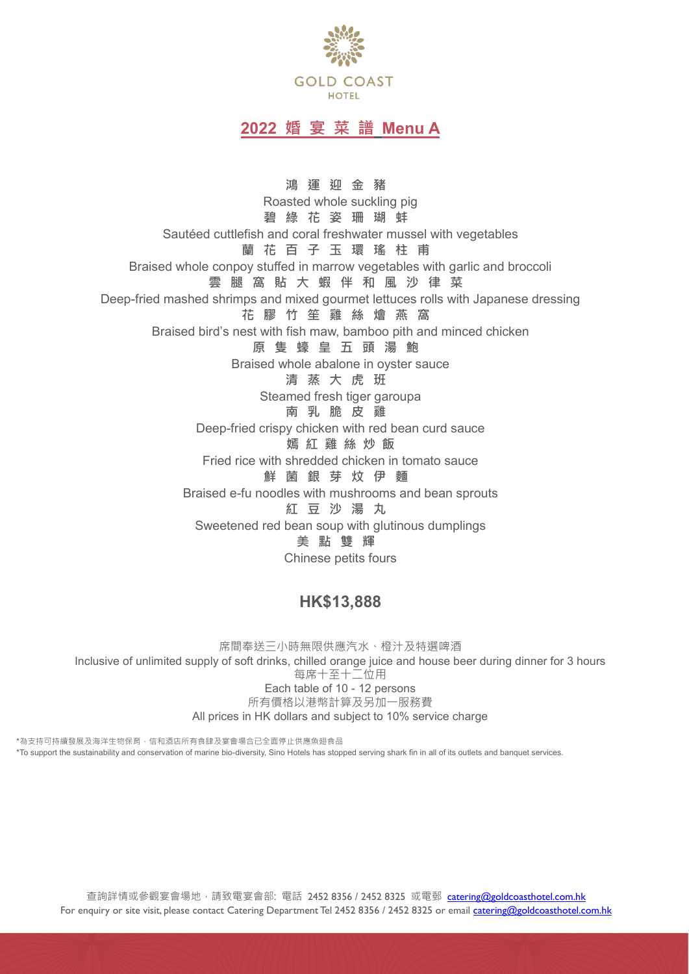

# **2022 婚 宴 菜 譜 Menu A**

**鴻 運 迎 金 豬** Roasted whole suckling pig **碧綠 花 姿 珊 瑚 蚌** Sautéed cuttlefish and coral freshwater mussel with vegetables **蘭 花 百 子 玉 環 瑤 柱 甫** Braised whole conpoy stuffed in marrow vegetables with garlic and broccoli **雲 腿 窩 貼 大 蝦 伴 和 風 沙 律 菜** Deep-fried mashed shrimps and mixed gourmet lettuces rolls with Japanese dressing **花 膠 竹 笙 雞 絲 燴 燕 窩** Braised bird's nest with fish maw, bamboo pith and minced chicken **原 隻 蠔 皇 五 頭 湯 鮑** Braised whole abalone in oyster sauce **清 蒸 大 虎 班** Steamed fresh tiger garoupa **南 乳 脆 皮 雞** Deep-fried crispy chicken with red bean curd sauce **嫣 紅 雞 絲 炒 飯** Fried rice with shredded chicken in tomato sauce **鮮 菌 銀 芽 炆 伊 麵** Braised e-fu noodles with mushrooms and bean sprouts **紅 豆 沙 湯 丸** Sweetened red bean soup with glutinous dumplings **美點雙輝** Chinese petits fours

# **HK\$13,888**

席間奉送三小時無限供應汽水、橙汁及特選啤酒 Inclusive of unlimited supply of soft drinks, chilled orange juice and house beer during dinner for 3 hours 每席十至十二位用 Each table of 10 - 12 persons 所有價格以港幣計算及另加一服務費 All prices in HK dollars and subject to 10% service charge

\*為支持可持續發展及海洋生物保育,信和酒店所有食肆及宴會場合已全面停止供應魚翅食品 \*To support the sustainability and conservation of marine bio-diversity, Sino Hotels has stopped serving shark fin in all of its outlets and banquet services.

查詢詳情或參觀宴會場地,請致電宴會部: 電話 2452 8356 / 2452 8325 或電郵 [catering@goldcoasthotel.com.hk](mailto:catering@goldcoasthotel.com.hk) For enquiry or site visit, please contact Catering Department Tel 2452 8356 / 2452 8325 or email [catering@goldcoasthotel.com.hk](mailto:catering@goldcoasthotel.com.hk)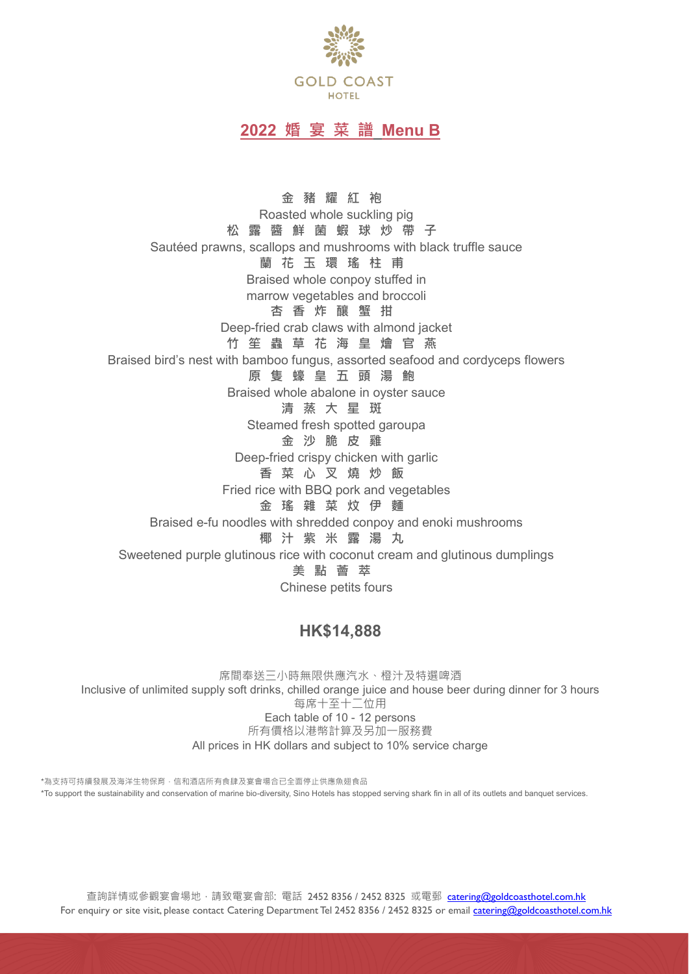

### **2022 婚 宴 菜 譜 Menu B**

**金 豬 耀 紅 袍** Roasted whole suckling pig **松露醬 鮮 菌 蝦 球 炒 帶 子** Sautéed prawns, scallops and mushrooms with black truffle sauce **蘭 花 玉 環 瑤 柱 甫** Braised whole conpoy stuffed in marrow vegetables and broccoli **杏 香 炸 釀 蟹 拑** Deep-fried crab claws with almond jacket **竹 笙 蟲 草 花 海 皇 燴 官 燕** Braised bird's nest with bamboo fungus, assorted seafood and cordyceps flowers **原 隻 蠔 皇 五 頭 湯 鮑** Braised whole abalone in oyster sauce **清 蒸 大 星 斑** Steamed fresh spotted garoupa **金 沙 脆 皮 雞** Deep-fried crispy chicken with garlic **香 菜 心 叉 燒 炒 飯** Fried rice with BBQ pork and vegetables **金 瑤 雜 菜 炆 伊 麵** Braised e-fu noodles with shredded conpoy and enoki mushrooms **椰 汁 紫 米 露 湯 丸** Sweetened purple glutinous rice with coconut cream and glutinous dumplings **美點薈萃** Chinese petits fours

#### **HK\$14,888**

席間奉送三小時無限供應汽水、橙汁及特選啤酒 Inclusive of unlimited supply soft drinks, chilled orange juice and house beer during dinner for 3 hours 每席十至十二位用 Each table of 10 - 12 persons 所有價格以港幣計算及另加一服務費 All prices in HK dollars and subject to 10% service charge

\*為支持可持續發展及海洋生物保育,信和酒店所有食肆及宴會場合已全面停止供應魚翅食品 \*To support the sustainability and conservation of marine bio-diversity, Sino Hotels has stopped serving shark fin in all of its outlets and banquet services.

查詢詳情或參觀宴會場地,請致電宴會部: 電話 2452 8356 / 2452 8325 或電郵 [catering@goldcoasthotel.com.hk](mailto:catering@goldcoasthotel.com.hk) For enquiry or site visit, please contact Catering Department Tel 2452 8356 / 2452 8325 or email [catering@goldcoasthotel.com.hk](mailto:catering@goldcoasthotel.com.hk)